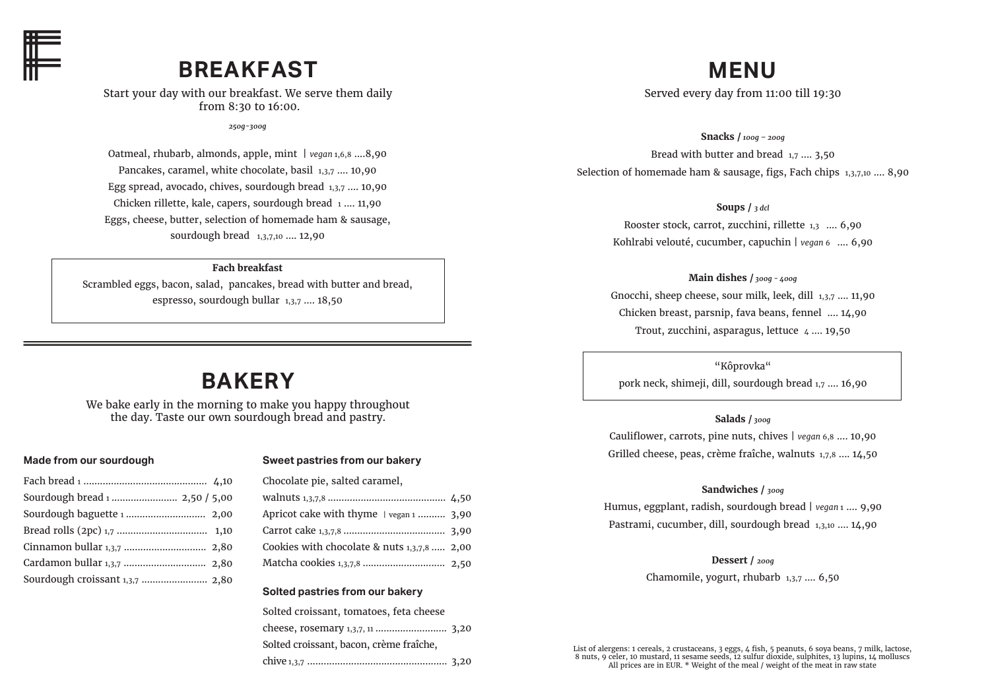

# **BREAKFAST**

Start your day with our breakfast. We serve them daily from 8:30 to 16:00.

*250g-300g*

Oatmeal, rhubarb, almonds, apple, mint | *vegan* 1,6,8 ....8,90 Pancakes, caramel, white chocolate, basil 1,3,7 .... 10,90 Egg spread, avocado, chives, sourdough bread 1,3,7 .... 10,90 Chicken rillette, kale, capers, sourdough bread 1 .... 11,90 Eggs, cheese, butter, selection of homemade ham & sausage, sourdough bread 1,3,7,10 .... 12,90

## **Fach breakfast**

Scrambled eggs, bacon, salad, pancakes, bread with butter and bread, espresso, sourdough bullar 1,3,7 …. 18,50

# **BAKERY**

We bake early in the morning to make you happy throughout the day. Taste our own sourdough bread and pastry.

## **Made from our sourdough**

| Sourdough croissant 1,3,7  2,80 |  |
|---------------------------------|--|
|                                 |  |

### **Sweet pastries from our bakery**

| Chocolate pie, salted caramel,              |  |
|---------------------------------------------|--|
|                                             |  |
| Apricot cake with thyme   vegan 1  3,90     |  |
|                                             |  |
| Cookies with chocolate & nuts 1,3,7,8  2,00 |  |
|                                             |  |

### **Solted pastries from our bakery**

| Solted croissant, tomatoes, feta cheese |  |
|-----------------------------------------|--|
|                                         |  |
| Solted croissant, bacon, crème fraîche, |  |
|                                         |  |

# **MENU**

Served every day from 11:00 till 19:30

**Snacks /** *100g – 200g* Bread with butter and bread 1,7 .... 3,50 Selection of homemade ham & sausage, figs, Fach chips 1,3,7,10 .... 8,90

**Soups /** *3 dcl*

Rooster stock, carrot, zucchini, rillette 1,3 .... 6,90 Kohlrabi velouté, cucumber, capuchin | *vegan* 6 .... 6,90

**Main dishes /** *300g - 400g* Gnocchi, sheep cheese, sour milk, leek, dill 1,3,7 .... 11,90 Chicken breast, parsnip, fava beans, fennel .... 14,90 Trout, zucchini, asparagus, lettuce  $\mu$  ..., 19,50

"Kôprovka"

pork neck, shimeji, dill, sourdough bread 1,7 …. 16,90

# **Salads /** *300g*

Cauliflower, carrots, pine nuts, chives | *vegan* 6,8 .... 10,90 Grilled cheese, peas, crème fraîche, walnuts 1,7,8 .... 14,50

# **Sandwiches /** *300g*

Humus, eggplant, radish, sourdough bread | *vegan* 1 …. 9,90 Pastrami, cucumber, dill, sourdough bread 1,3,10 …. 14,90

**Dessert /** *200g*

Chamomile, yogurt, rhubarb 1,3,7 …. 6,50

List of alergens: 1 cereals, 2 crustaceans, 3 eggs, 4 fish, 5 peanuts, 6 soya beans, 7 milk, lactose, 8 nuts, 9 celer, 10 mustard, 11 sesame seeds, 12 sulfur dioxide, sulphites, 13 lupins, 14 molluscs All prices are in EUR. \* Weight of the meal / weight of the meat in raw state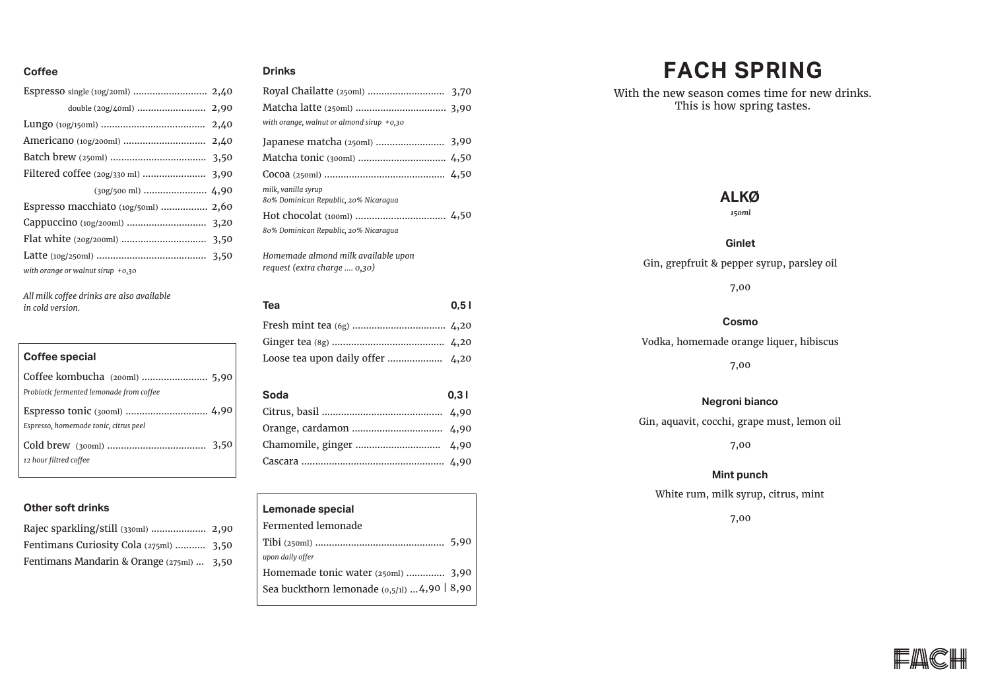# **Coffee Drinks**

| Espresso macchiato (10g/50ml)  2,60 |  |
|-------------------------------------|--|
|                                     |  |
|                                     |  |
|                                     |  |
| with orange or walnut sirup $+0.30$ |  |

*All milk coffee drinks are also available in cold version.* 

# **Coffee special** Coffee kombucha (200ml) ........................ 5,90 *Probiotic fermented lemonade from coffee*  Espresso tonic (300ml) .............................. 4,90 *Espresso, homemade tonic, citrus peel*  Cold brew (300ml) .................................... 3,50

# **Other soft drinks**

*12 hour filtred coffee*

| Rajec sparkling/still (330ml)  2,90       |  |
|-------------------------------------------|--|
| Fentimans Curiosity Cola (275ml)  3,50    |  |
| Fentimans Mandarin & Orange (275ml)  3,50 |  |

| Matcha latte (250ml)  3,90                                   |  |
|--------------------------------------------------------------|--|
| with orange, walnut or almond sirup $+0.30$                  |  |
| Japanese matcha (250ml)  3,90                                |  |
|                                                              |  |
|                                                              |  |
| milk, vanilla syrup<br>80% Dominican Republic, 20% Nicaraqua |  |
|                                                              |  |
| 80% Dominican Republic, 20% Nicaraqua                        |  |
| .                                                            |  |

*Homemade almond milk available upon request (extra charge .... 0,30)*

| <b>Tea</b> | 0.51 |
|------------|------|
|            |      |
|            |      |
|            |      |
|            |      |
|            |      |
| Soda       | 0.31 |
|            |      |
|            |      |
|            |      |

# **Lemonade special** Fermented lemonade Tibi (250ml) ............................................... 5,90 *upon daily offer* Homemade tonic water (250ml) .............. 3,90 Sea buckthorn lemonade (0,5/1l) ... 4,90 | 8,90

# **FACH SPRING**

With the new season comes time for new drinks. This is how spring tastes.

# **ALKØ**

*150ml*

### **Ginlet**

Gin, grepfruit & pepper syrup, parsley oil

7,00

### **Cosmo**

Vodka, homemade orange liquer, hibiscus

7,00

### **Negroni bianco**

Gin, aquavit, cocchi, grape must, lemon oil

7,00

### **Mint punch**

White rum, milk syrup, citrus, mint

## 7,00